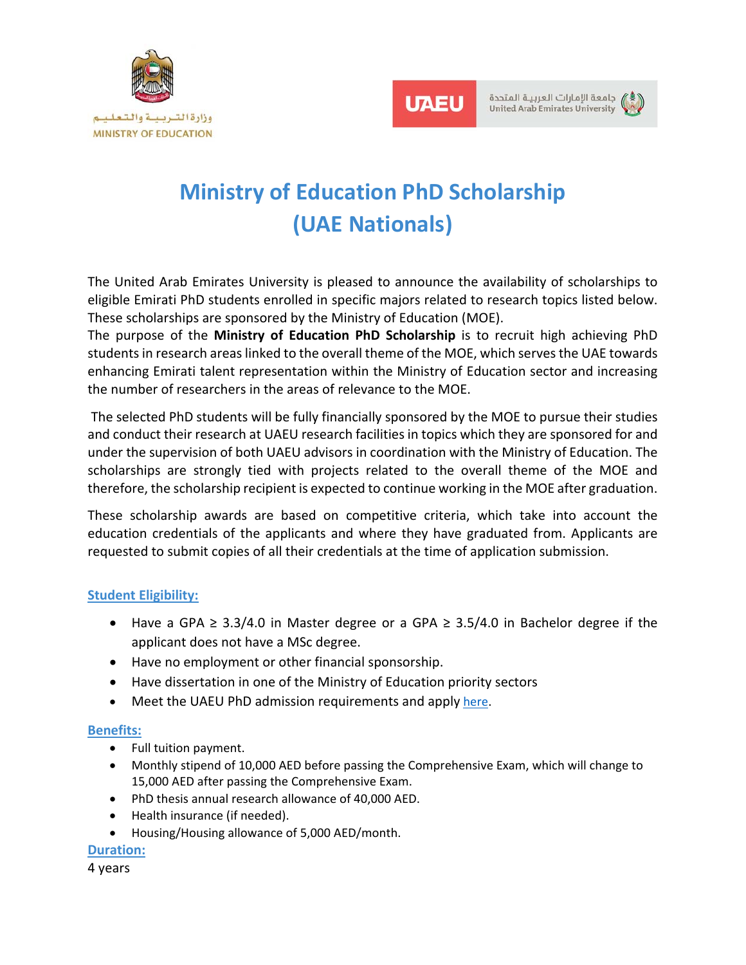



جامعة الإمارات العربية المتحدة **United Arab Emirates University** 

# **Ministry of Education PhD Scholarship (UAE Nationals)**

The United Arab Emirates University is pleased to announce the availability of scholarships to eligible Emirati PhD students enrolled in specific majors related to research topics listed below. These scholarships are sponsored by the Ministry of Education (MOE).

The purpose of the **Ministry of Education PhD Scholarship** is to recruit high achieving PhD students in research areas linked to the overall theme of the MOE, which serves the UAE towards enhancing Emirati talent representation within the Ministry of Education sector and increasing the number of researchers in the areas of relevance to the MOE.

 The selected PhD students will be fully financially sponsored by the MOE to pursue their studies and conduct their research at UAEU research facilities in topics which they are sponsored for and under the supervision of both UAEU advisors in coordination with the Ministry of Education. The scholarships are strongly tied with projects related to the overall theme of the MOE and therefore, the scholarship recipient is expected to continue working in the MOE after graduation.

These scholarship awards are based on competitive criteria, which take into account the education credentials of the applicants and where they have graduated from. Applicants are requested to submit copies of all their credentials at the time of application submission.

# **Student Eligibility:**

- $\bullet$  Have a GPA ≥ 3.3/4.0 in Master degree or a GPA ≥ 3.5/4.0 in Bachelor degree if the applicant does not have a MSc degree.
- Have no employment or other financial sponsorship.
- Have dissertation in one of the Ministry of Education priority sectors
- Meet the UAEU PhD admission requirements and apply here.

# **Benefits:**

- Full tuition payment.
- Monthly stipend of 10,000 AED before passing the Comprehensive Exam, which will change to 15,000 AED after passing the Comprehensive Exam.
- PhD thesis annual research allowance of 40,000 AED.
- Health insurance (if needed).
- Housing/Housing allowance of 5,000 AED/month.

#### **Duration:**

4 years